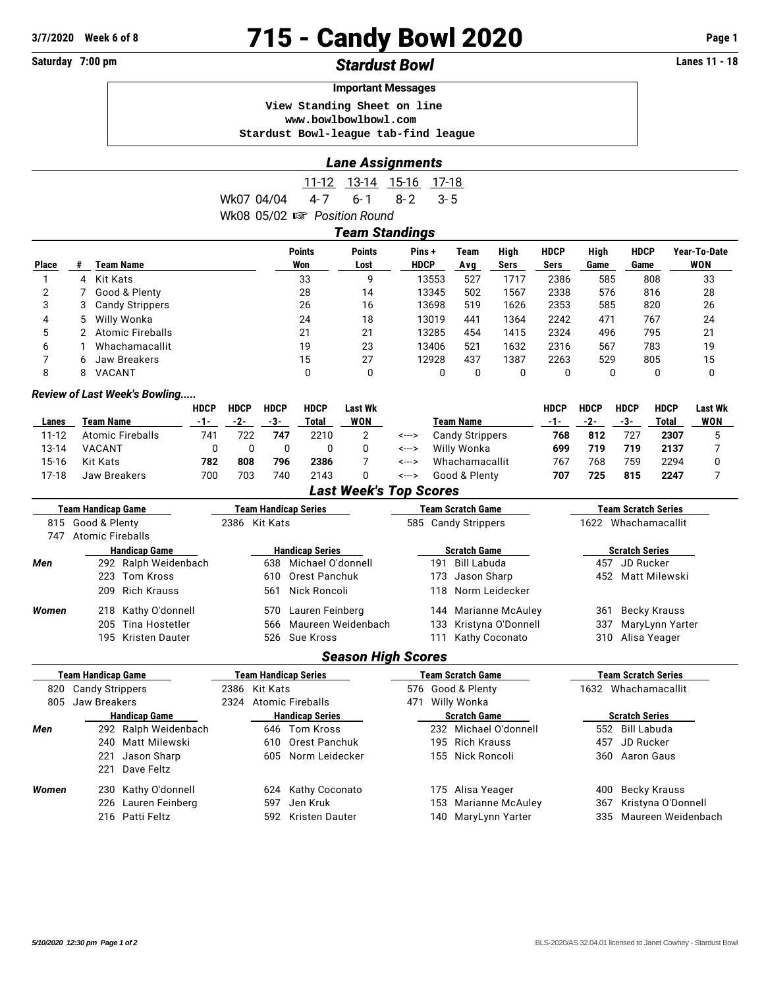# **3/7/2020 Week 6 of 8 715 - Candy Bowl 2020 Page 1**

# **Saturday 7:00 pm** *Stardust Bowl* **Lanes 11 - 18**

#### **Important Messages**

 **View Standing Sheet on line <www.bowlbowlbowl.com> Stardust Bowl-league tab-find league**

## *Lane Assignments*

|  |                                          | 11-12 13-14 15-16 17-18 |  |
|--|------------------------------------------|-------------------------|--|
|  | Wk07 04/04 4-7 6-1 8-2 3-5               |                         |  |
|  | Wk08 $05/02 \n\text{ is}$ Position Round |                         |  |

|       | <b>Team Standings</b> |                    |                      |                       |                      |             |              |                     |              |                     |                     |  |  |
|-------|-----------------------|--------------------|----------------------|-----------------------|----------------------|-------------|--------------|---------------------|--------------|---------------------|---------------------|--|--|
| Place |                       | <b>Team Name</b>   | <b>Points</b><br>Won | <b>Points</b><br>Lost | Pins+<br><b>HDCP</b> | Team<br>Avg | High<br>Sers | <b>HDCP</b><br>Sers | High<br>Game | <b>HDCP</b><br>Game | Year-To-Date<br>WON |  |  |
|       |                       | 4 Kit Kats         | 33                   | 9                     | 13553                | 527         | 1717         | 2386                | 585          | 808                 | 33                  |  |  |
|       |                       | 7 Good & Plenty    | 28                   | 14                    | 13345                | 502         | 1567         | 2338                | 576          | 816                 | 28                  |  |  |
| 3     |                       | 3 Candy Strippers  | 26                   | 16                    | 13698                | 519         | 1626         | 2353                | 585          | 820                 | 26                  |  |  |
| 4     |                       | 5 Willy Wonka      | 24                   | 18                    | 13019                | 441         | 1364         | 2242                | 471          | 767                 | 24                  |  |  |
| 5     |                       | 2 Atomic Fireballs | 21                   | 21                    | 13285                | 454         | 1415         | 2324                | 496          | 795                 | 21                  |  |  |
| 6     |                       | Whachamacallit     | 19                   | 23                    | 13406                | 521         | 1632         | 2316                | 567          | 783                 | 19                  |  |  |
|       |                       | 6 Jaw Breakers     | 15                   | 27                    | 12928                | 437         | 1387         | 2263                | 529          | 805                 | 15                  |  |  |
| 8     | 8                     | VACANT             | 0                    | 0                     |                      |             | 0            |                     |              | 0                   | 0                   |  |  |

#### *Review of Last Week's Bowling.....*

|       |                  | <b>HDCP</b> | <b>HDCP</b> | <b>HDCP</b> | <b>HDCP</b> | <b>Last Wk</b> |       |                        | HDCP | <b>HDCP</b> | <b>HDCP</b> | <b>HDCP</b> | <b>Last Wk</b> |
|-------|------------------|-------------|-------------|-------------|-------------|----------------|-------|------------------------|------|-------------|-------------|-------------|----------------|
| Lanes | Team Name        | -1-         | -2-         | -3-         | Total       | <b>WON</b>     |       | Team Name              | -1-  | -2-         | -3-         | Total       | WON            |
| 11-12 | Atomic Fireballs | 741         | 722         | 747         | 2210        |                | <---> | <b>Candy Strippers</b> | 768  | 812         | 727         | 2307        |                |
| 13-14 | VACANT           |             |             |             |             |                | <---> | Willy Wonka            | 699  | 719         | 719         | 2137        |                |
| 15-16 | Kit Kats         | 782         | 808         | 796         | 2386        |                | <---> | Whachamacallit         | 767  | 768         | 759         | 2294        |                |
| 17-18 | Jaw Breakers     | 700         | 703         | 740         | 2143        |                | <---> | Good & Plenty          | 707  | 725         | 815         | 2247        |                |

*Last Week's Top Scores*

| <b>Team Handicap Game</b> |                      |                      | Team Handicap Series   |      |                        | Team Scratch Game | <b>Team Scratch Series</b> |                        |     |                   |  |
|---------------------------|----------------------|----------------------|------------------------|------|------------------------|-------------------|----------------------------|------------------------|-----|-------------------|--|
|                           | 815 Good & Plenty    |                      | 2386 Kit Kats          |      | 585 Candy Strippers    |                   | 1622                       | Whachamacallit         |     |                   |  |
| 747                       | Atomic Fireballs     |                      |                        |      |                        |                   |                            |                        |     |                   |  |
|                           | <b>Handicap Game</b> |                      | <b>Handicap Series</b> |      | <b>Scratch Game</b>    |                   |                            | <b>Scratch Series</b>  |     |                   |  |
| Men                       |                      | 292 Ralph Weidenbach |                        |      | 638 Michael O'donnell  |                   | 191                        | Bill Labuda            | 457 | JD Rucker         |  |
|                           |                      | 223 Tom Kross        |                        |      | 610 Orest Panchuk      |                   |                            | 173 Jason Sharp        |     | 452 Matt Milewski |  |
|                           |                      | 209 Rich Krauss      |                        | 561. | Nick Roncoli           |                   |                            | 118 Norm Leidecker     |     |                   |  |
| Women                     |                      | 218 Kathy O'donnell  |                        |      | 570 Lauren Feinberg    |                   |                            | 144 Marianne McAuley   | 361 | Becky Krauss      |  |
|                           |                      | 205 Tina Hostetler   |                        |      | 566 Maureen Weidenbach |                   |                            | 133 Kristyna O'Donnell | 337 | MaryLynn Yarter   |  |
|                           |                      | 195 Kristen Dauter   |                        |      | 526 Sue Kross          |                   |                            | Kathy Coconato         | 310 | Alisa Yeager      |  |

## *Season High Scores*

| Team Handicap Game |                        | <b>Team Handicap Series</b> |               |                        |                    |     | <b>Team Scratch Game</b> | <b>Team Scratch Series</b> |                        |  |  |
|--------------------|------------------------|-----------------------------|---------------|------------------------|--------------------|-----|--------------------------|----------------------------|------------------------|--|--|
| 820                | <b>Candy Strippers</b> |                             | 2386 Kit Kats |                        | 576 Good & Plenty  |     |                          | Whachamacallit<br>1632     |                        |  |  |
| 805                | Jaw Breakers           | 2324                        |               | Atomic Fireballs       | Willy Wonka<br>471 |     |                          |                            |                        |  |  |
|                    | <b>Handicap Game</b>   |                             |               | <b>Handicap Series</b> |                    |     | <b>Scratch Game</b>      |                            | <b>Scratch Series</b>  |  |  |
| Men                | 292 Ralph Weidenbach   |                             |               | 646 Tom Kross          |                    |     | 232 Michael O'donnell    |                            | 552 Bill Labuda        |  |  |
|                    | 240 Matt Milewski      |                             |               | 610 Orest Panchuk      |                    |     | 195 Rich Krauss          | 457                        | JD Rucker              |  |  |
|                    | Jason Sharp<br>221     |                             |               | 605 Norm Leidecker     |                    |     | 155 Nick Roncoli         |                            | 360 Aaron Gaus         |  |  |
|                    | Dave Feltz<br>221      |                             |               |                        |                    |     |                          |                            |                        |  |  |
| Women              | 230 Kathy O'donnell    |                             |               | 624 Kathy Coconato     |                    |     | 175 Alisa Yeager         | 400                        | Becky Krauss           |  |  |
|                    | 226 Lauren Feinberg    |                             | 597           | Jen Kruk               |                    |     | 153 Marianne McAuley     |                            | 367 Kristyna O'Donnell |  |  |
|                    | 216 Patti Feltz        |                             |               | 592 Kristen Dauter     |                    | 140 | MaryLynn Yarter          |                            | 335 Maureen Weidenbach |  |  |